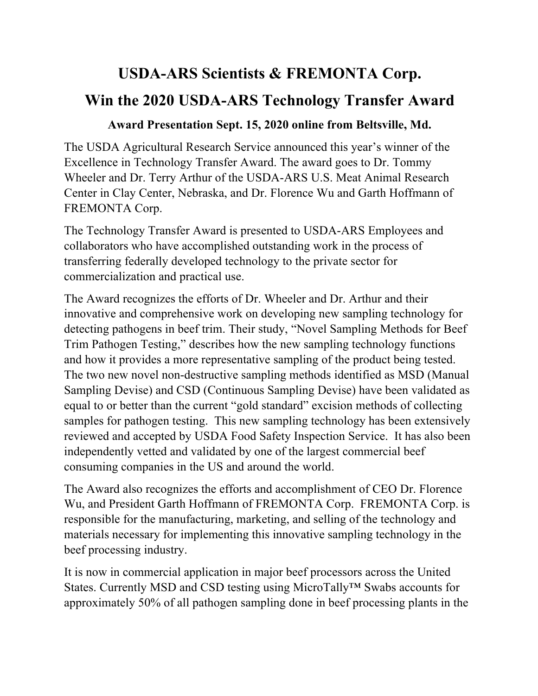## **USDA-ARS Scientists & FREMONTA Corp. Win the 2020 USDA-ARS Technology Transfer Award**

## **Award Presentation Sept. 15, 2020 online from Beltsville, Md.**

The USDA Agricultural Research Service announced this year's winner of the Excellence in Technology Transfer Award. The award goes to Dr. Tommy Wheeler and Dr. Terry Arthur of the USDA-ARS U.S. Meat Animal Research Center in Clay Center, Nebraska, and Dr. Florence Wu and Garth Hoffmann of FREMONTA Corp.

The Technology Transfer Award is presented to USDA-ARS Employees and collaborators who have accomplished outstanding work in the process of transferring federally developed technology to the private sector for commercialization and practical use.

The Award recognizes the efforts of Dr. Wheeler and Dr. Arthur and their innovative and comprehensive work on developing new sampling technology for detecting pathogens in beef trim. Their study, "Novel Sampling Methods for Beef Trim Pathogen Testing," describes how the new sampling technology functions and how it provides a more representative sampling of the product being tested. The two new novel non-destructive sampling methods identified as MSD (Manual Sampling Devise) and CSD (Continuous Sampling Devise) have been validated as equal to or better than the current "gold standard" excision methods of collecting samples for pathogen testing. This new sampling technology has been extensively reviewed and accepted by USDA Food Safety Inspection Service. It has also been independently vetted and validated by one of the largest commercial beef consuming companies in the US and around the world.

The Award also recognizes the efforts and accomplishment of CEO Dr. Florence Wu, and President Garth Hoffmann of FREMONTA Corp. FREMONTA Corp. is responsible for the manufacturing, marketing, and selling of the technology and materials necessary for implementing this innovative sampling technology in the beef processing industry.

It is now in commercial application in major beef processors across the United States. Currently MSD and CSD testing using MicroTally™ Swabs accounts for approximately 50% of all pathogen sampling done in beef processing plants in the